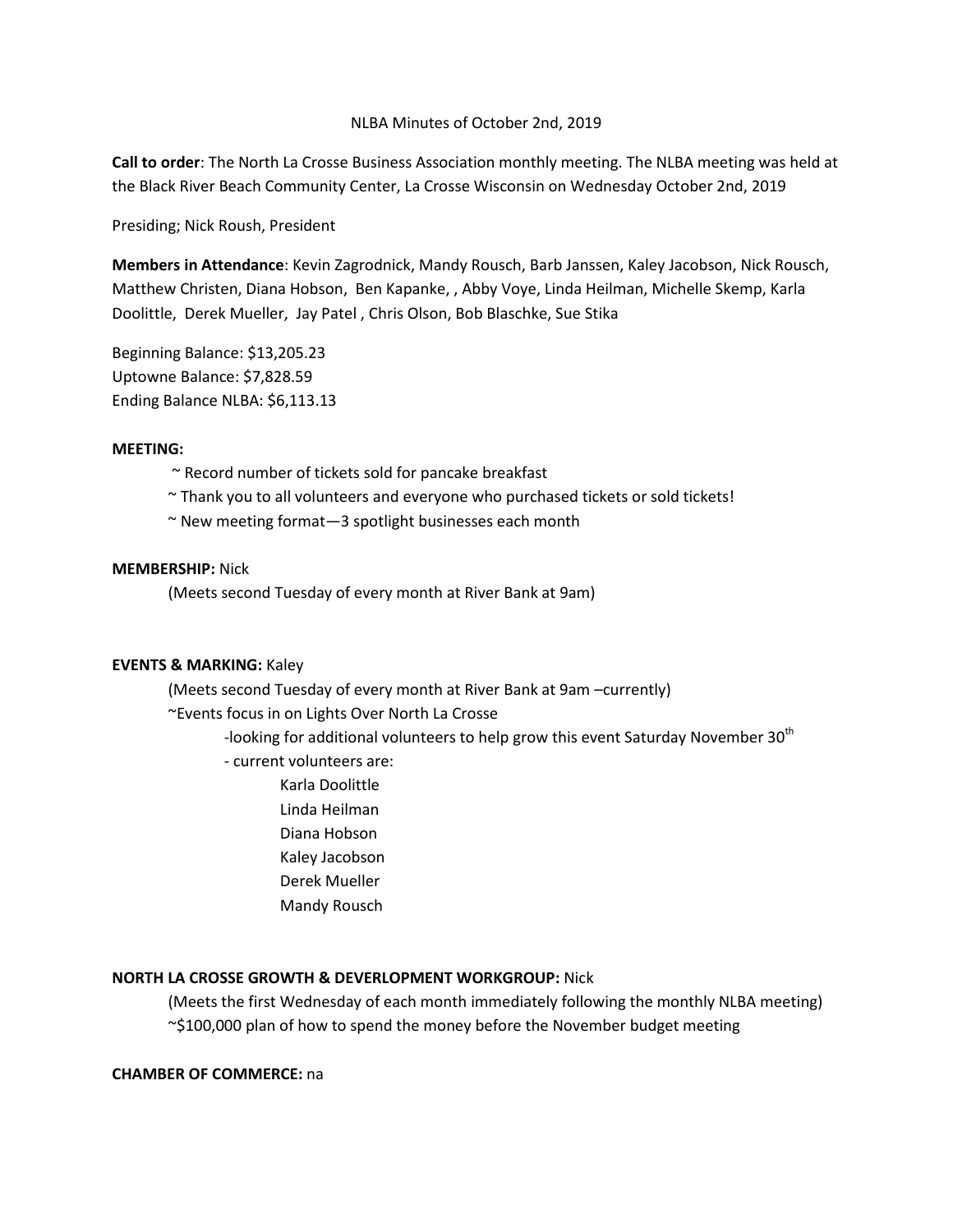## NLBA Minutes of October 2nd, 2019

**Call to order**: The North La Crosse Business Association monthly meeting. The NLBA meeting was held at the Black River Beach Community Center, La Crosse Wisconsin on Wednesday October 2nd, 2019

Presiding; Nick Roush, President

**Members in Attendance**: Kevin Zagrodnick, Mandy Rousch, Barb Janssen, Kaley Jacobson, Nick Rousch, Matthew Christen, Diana Hobson, Ben Kapanke, , Abby Voye, Linda Heilman, Michelle Skemp, Karla Doolittle, Derek Mueller, Jay Patel , Chris Olson, Bob Blaschke, Sue Stika

Beginning Balance: \$13,205.23 Uptowne Balance: \$7,828.59 Ending Balance NLBA: \$6,113.13

## **MEETING:**

- ~ Record number of tickets sold for pancake breakfast
- $\sim$  Thank you to all volunteers and everyone who purchased tickets or sold tickets!
- ~ New meeting format—3 spotlight businesses each month

# **MEMBERSHIP:** Nick

(Meets second Tuesday of every month at River Bank at 9am)

## **EVENTS & MARKING:** Kaley

(Meets second Tuesday of every month at River Bank at 9am –currently)

~Events focus in on Lights Over North La Crosse

-looking for additional volunteers to help grow this event Saturday November  $30<sup>th</sup>$ 

- current volunteers are:
	- Karla Doolittle
	- Linda Heilman
	- Diana Hobson
	- Kaley Jacobson
	- Derek Mueller
	- Mandy Rousch

# **NORTH LA CROSSE GROWTH & DEVERLOPMENT WORKGROUP:** Nick

(Meets the first Wednesday of each month immediately following the monthly NLBA meeting) ~\$100,000 plan of how to spend the money before the November budget meeting

# **CHAMBER OF COMMERCE:** na